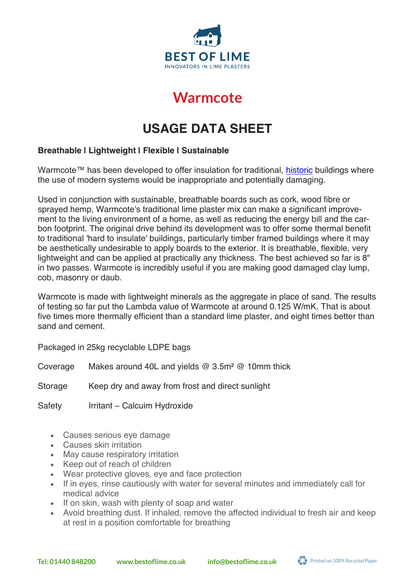

# **Warmcote Warmcote**

# **USAGE DATA SHEET**

#### **Breathable | Lightweight | Flexible | Sustainable**

Warmcote™ has been developed to offer insulation for traditional, historic buildings where the use of modern systems would be inappropriate and potentially damaging.

Used in conjunction with sustainable, breathable boards such as cork, wood fibre or sprayed hemp, Warmcote's traditional lime plaster mix can make a significant improvement to the living environment of a home, as well as reducing the energy bill and the carbon footprint. The original drive behind its development was to offer some thermal benefit to traditional 'hard to insulate' buildings, particularly timber framed buildings where it may be aesthetically undesirable to apply boards to the exterior. It is breathable, flexible, very lightweight and can be applied at practically any thickness. The best achieved so far is 8" in two passes. Warmcote is incredibly useful if you are making good damaged clay lump, cob, masonry or daub.

Warmcote is made with lightweight minerals as the aggregate in place of sand. The results of testing so far put the Lambda value of Warmcote at around 0.125 W/mK. That is about five times more thermally efficient than a standard lime plaster, and eight times better than sand and cement.

Packaged in 25kg recyclable LDPE bags

Coverage Makes around 40L and yields @ 3.5m² @ 10mm thick

Storage Keep dry and away from frost and direct sunlight

Safety Irritant – Calcuim Hydroxide

- Causes serious eye damage
- Causes skin irritation
- May cause respiratory irritation
- Keep out of reach of children
- Wear protective gloves, eye and face protection
- If in eyes, rinse cautiously with water for several minutes and immediately call for medical advice
- If on skin, wash with plenty of soap and water
- Avoid breathing dust. If inhaled, remove the affected individual to fresh air and keep at rest in a position comfortable for breathing